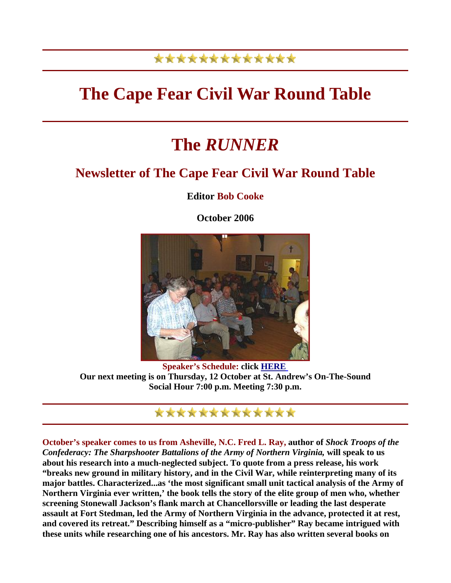## \*\*\*\*\*\*\*\*\*\*\*\*\*

## **The Cape Fear Civil War Round Table**

## **The** *RUNNER*

## **Newsletter of The Cape Fear Civil War Round Table**

**Editor Bob Cooke** 

**October 2006** 



**Speaker's Schedule: click HERE Our next meeting is on Thursday, 12 October at St. Andrew's On-The-Sound Social Hour 7:00 p.m. Meeting 7:30 p.m.**



**October's speaker comes to us from Asheville, N.C. Fred L. Ray, author of** *Shock Troops of the Confederacy: The Sharpshooter Battalions of the Army of Northern Virginia,* **will speak to us about his research into a much-neglected subject. To quote from a press release, his work "breaks new ground in military history, and in the Civil War, while reinterpreting many of its major battles. Characterized...as 'the most significant small unit tactical analysis of the Army of Northern Virginia ever written,' the book tells the story of the elite group of men who, whether screening Stonewall Jackson's flank march at Chancellorsville or leading the last desperate assault at Fort Stedman, led the Army of Northern Virginia in the advance, protected it at rest, and covered its retreat." Describing himself as a "micro-publisher" Ray became intrigued with these units while researching one of his ancestors. Mr. Ray has also written several books on**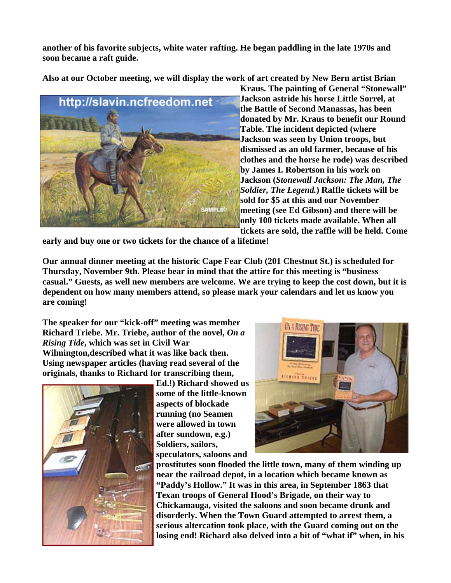**another of his favorite subjects, white water rafting. He began paddling in the late 1970s and soon became a raft guide.** 

**Also at our October meeting, we will display the work of art created by New Bern artist Brian** 



**Kraus. The painting of General "Stonewall" Jackson astride his horse Little Sorrel, at the Battle of Second Manassas, has been donated by Mr. Kraus to benefit our Round Table. The incident depicted (where Jackson was seen by Union troops, but dismissed as an old farmer, because of his clothes and the horse he rode) was d escribed by James I. Robertson in his work on Jackson (***Stonewall Jackson: The Man, The Soldier, The Legend.***) Raffle tickets will be sold for \$5 at this and our November meeting (see Ed Gibson) and there will be only 100 tickets made available. When all tickets are sold, the raffle will be held. Come** 

**early and buy one or two tickets for the chance of a lifetime!** 

**Our annual dinner meeting at the historic Cape Fear Club (201 Chestnut St.) is scheduled for Thursday, November 9th. Please bear in mind that the attire for this meeting is "business casual." Guests, as well new members are welcome. We are trying to keep the cost down, but it is dependent on how many members attend, so please mark your calendars and let us know you are coming!** 

**The speaker for our "kick-off" meeting was member Richard Triebe. Mr. Triebe, author of the novel,** *On a Rising Tide***, which was set in Civil War Wilmington,described what it was like back then. Using newspaper articles (having read several of the originals, thanks to Richard for transcribing them,** 



**Ed.!) Richard showed us some of the little-known aspects of blockade running (no Seamen were allowed in town after sundown, e.g.) Soldiers, sailors, speculators, saloons and** 



**prostitutes soon flooded the little town, many of them winding up near the railroad depot, in a location which became known as "Paddy's Hollow." It was in this area, in September 1863 that Texan troops of General Hood's Brigade, on their way to Chickamauga, visited the saloons and soon became drunk and disorderly. When the Town Guard attempted to arrest them, a serious altercation took place, with the Guard coming out on the losing end! Richard also delved into a bit of "what if" when, in his**